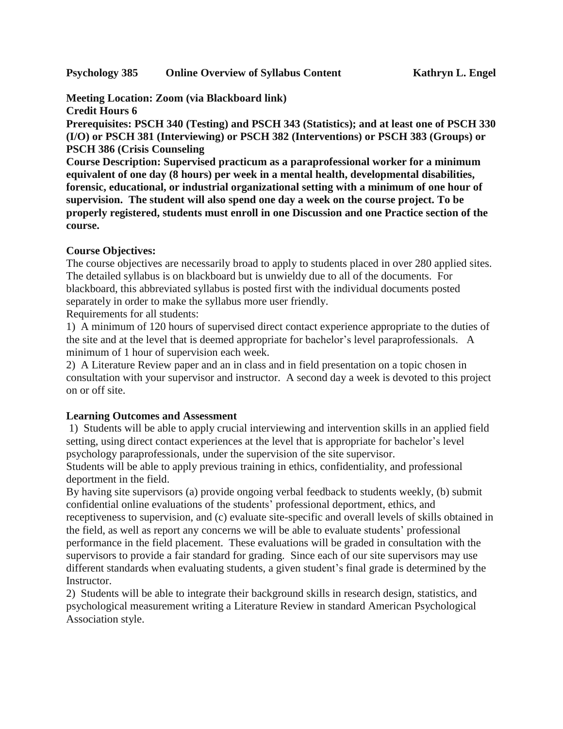**Meeting Location: Zoom (via Blackboard link)**

**Credit Hours 6**

**Prerequisites: PSCH 340 (Testing) and PSCH 343 (Statistics); and at least one of PSCH 330 (I/O) or PSCH 381 (Interviewing) or PSCH 382 (Interventions) or PSCH 383 (Groups) or PSCH 386 (Crisis Counseling**

**Course Description: Supervised practicum as a paraprofessional worker for a minimum equivalent of one day (8 hours) per week in a mental health, developmental disabilities, forensic, educational, or industrial organizational setting with a minimum of one hour of supervision. The student will also spend one day a week on the course project. To be properly registered, students must enroll in one Discussion and one Practice section of the course.**

# **Course Objectives:**

The course objectives are necessarily broad to apply to students placed in over 280 applied sites. The detailed syllabus is on blackboard but is unwieldy due to all of the documents. For blackboard, this abbreviated syllabus is posted first with the individual documents posted separately in order to make the syllabus more user friendly.

Requirements for all students:

1) A minimum of 120 hours of supervised direct contact experience appropriate to the duties of the site and at the level that is deemed appropriate for bachelor's level paraprofessionals. A minimum of 1 hour of supervision each week.

2) A Literature Review paper and an in class and in field presentation on a topic chosen in consultation with your supervisor and instructor. A second day a week is devoted to this project on or off site.

#### **Learning Outcomes and Assessment**

1) Students will be able to apply crucial interviewing and intervention skills in an applied field setting, using direct contact experiences at the level that is appropriate for bachelor's level psychology paraprofessionals, under the supervision of the site supervisor.

Students will be able to apply previous training in ethics, confidentiality, and professional deportment in the field.

By having site supervisors (a) provide ongoing verbal feedback to students weekly, (b) submit confidential online evaluations of the students' professional deportment, ethics, and receptiveness to supervision, and (c) evaluate site-specific and overall levels of skills obtained in the field, as well as report any concerns we will be able to evaluate students' professional performance in the field placement. These evaluations will be graded in consultation with the supervisors to provide a fair standard for grading. Since each of our site supervisors may use different standards when evaluating students, a given student's final grade is determined by the Instructor.

2) Students will be able to integrate their background skills in research design, statistics, and psychological measurement writing a Literature Review in standard American Psychological Association style.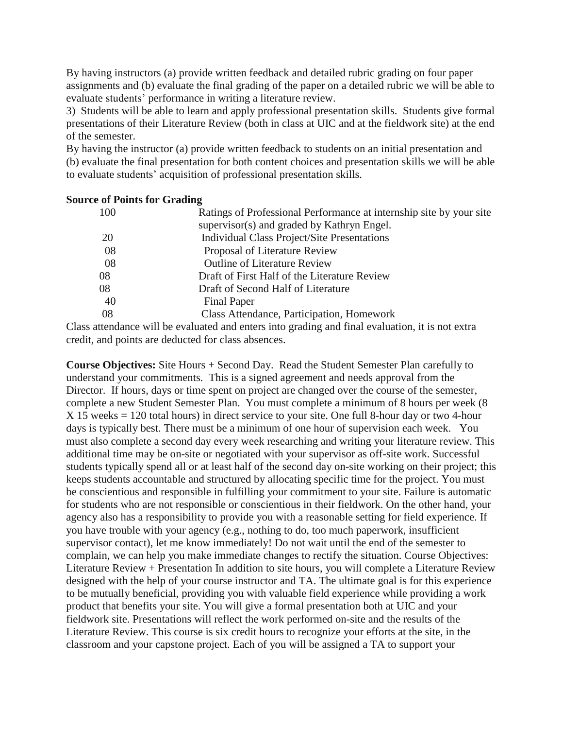By having instructors (a) provide written feedback and detailed rubric grading on four paper assignments and (b) evaluate the final grading of the paper on a detailed rubric we will be able to evaluate students' performance in writing a literature review.

3) Students will be able to learn and apply professional presentation skills. Students give formal presentations of their Literature Review (both in class at UIC and at the fieldwork site) at the end of the semester.

By having the instructor (a) provide written feedback to students on an initial presentation and (b) evaluate the final presentation for both content choices and presentation skills we will be able to evaluate students' acquisition of professional presentation skills.

#### **Source of Points for Grading**

| 100 | Ratings of Professional Performance at internship site by your site |
|-----|---------------------------------------------------------------------|
|     | supervisor(s) and graded by Kathryn Engel.                          |
| 20  | Individual Class Project/Site Presentations                         |
| 08  | Proposal of Literature Review                                       |
| 08  | <b>Outline of Literature Review</b>                                 |
| 08  | Draft of First Half of the Literature Review                        |
| 08  | Draft of Second Half of Literature                                  |
| 40  | <b>Final Paper</b>                                                  |
| 08  | Class Attendance, Participation, Homework                           |
|     |                                                                     |

Class attendance will be evaluated and enters into grading and final evaluation, it is not extra credit, and points are deducted for class absences.

**Course Objectives:** Site Hours + Second Day. Read the Student Semester Plan carefully to understand your commitments. This is a signed agreement and needs approval from the Director. If hours, days or time spent on project are changed over the course of the semester, complete a new Student Semester Plan. You must complete a minimum of 8 hours per week (8 X 15 weeks = 120 total hours) in direct service to your site. One full 8-hour day or two 4-hour days is typically best. There must be a minimum of one hour of supervision each week. You must also complete a second day every week researching and writing your literature review. This additional time may be on-site or negotiated with your supervisor as off-site work. Successful students typically spend all or at least half of the second day on-site working on their project; this keeps students accountable and structured by allocating specific time for the project. You must be conscientious and responsible in fulfilling your commitment to your site. Failure is automatic for students who are not responsible or conscientious in their fieldwork. On the other hand, your agency also has a responsibility to provide you with a reasonable setting for field experience. If you have trouble with your agency (e.g., nothing to do, too much paperwork, insufficient supervisor contact), let me know immediately! Do not wait until the end of the semester to complain, we can help you make immediate changes to rectify the situation. Course Objectives: Literature Review + Presentation In addition to site hours, you will complete a Literature Review designed with the help of your course instructor and TA. The ultimate goal is for this experience to be mutually beneficial, providing you with valuable field experience while providing a work product that benefits your site. You will give a formal presentation both at UIC and your fieldwork site. Presentations will reflect the work performed on-site and the results of the Literature Review. This course is six credit hours to recognize your efforts at the site, in the classroom and your capstone project. Each of you will be assigned a TA to support your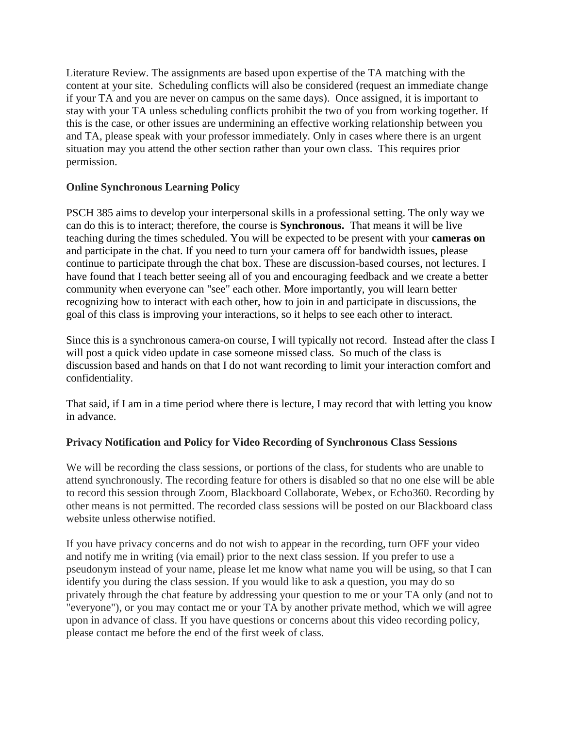Literature Review. The assignments are based upon expertise of the TA matching with the content at your site. Scheduling conflicts will also be considered (request an immediate change if your TA and you are never on campus on the same days). Once assigned, it is important to stay with your TA unless scheduling conflicts prohibit the two of you from working together. If this is the case, or other issues are undermining an effective working relationship between you and TA, please speak with your professor immediately. Only in cases where there is an urgent situation may you attend the other section rather than your own class. This requires prior permission.

# **Online Synchronous Learning Policy**

PSCH 385 aims to develop your interpersonal skills in a professional setting. The only way we can do this is to interact; therefore, the course is **Synchronous.** That means it will be live teaching during the times scheduled. You will be expected to be present with your **cameras on** and participate in the chat. If you need to turn your camera off for bandwidth issues, please continue to participate through the chat box. These are discussion-based courses, not lectures. I have found that I teach better seeing all of you and encouraging feedback and we create a better community when everyone can "see" each other. More importantly, you will learn better recognizing how to interact with each other, how to join in and participate in discussions, the goal of this class is improving your interactions, so it helps to see each other to interact.

Since this is a synchronous camera-on course, I will typically not record. Instead after the class I will post a quick video update in case someone missed class. So much of the class is discussion based and hands on that I do not want recording to limit your interaction comfort and confidentiality.

That said, if I am in a time period where there is lecture, I may record that with letting you know in advance.

# **Privacy Notification and Policy for Video Recording of Synchronous Class Sessions**

We will be recording the class sessions, or portions of the class, for students who are unable to attend synchronously. The recording feature for others is disabled so that no one else will be able to record this session through Zoom, Blackboard Collaborate, Webex, or Echo360. Recording by other means is not permitted. The recorded class sessions will be posted on our Blackboard class website unless otherwise notified.

If you have privacy concerns and do not wish to appear in the recording, turn OFF your video and notify me in writing (via email) prior to the next class session. If you prefer to use a pseudonym instead of your name, please let me know what name you will be using, so that I can identify you during the class session. If you would like to ask a question, you may do so privately through the chat feature by addressing your question to me or your TA only (and not to "everyone"), or you may contact me or your TA by another private method, which we will agree upon in advance of class. If you have questions or concerns about this video recording policy, please contact me before the end of the first week of class.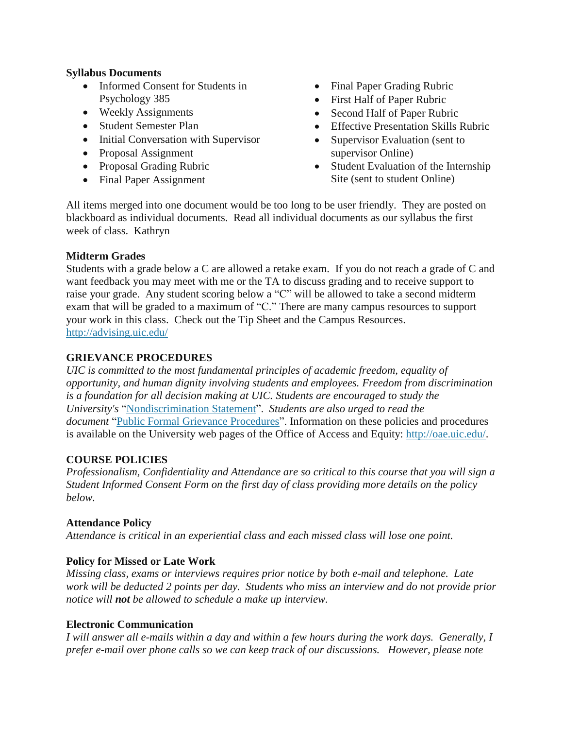### **Syllabus Documents**

- Informed Consent for Students in Psychology 385
- Weekly Assignments
- Student Semester Plan
- Initial Conversation with Supervisor
- Proposal Assignment
- Proposal Grading Rubric
- Final Paper Assignment
- Final Paper Grading Rubric
- First Half of Paper Rubric
- Second Half of Paper Rubric
- Effective Presentation Skills Rubric
- Supervisor Evaluation (sent to supervisor Online)
- Student Evaluation of the Internship Site (sent to student Online)

All items merged into one document would be too long to be user friendly. They are posted on blackboard as individual documents. Read all individual documents as our syllabus the first week of class. Kathryn

# **Midterm Grades**

Students with a grade below a C are allowed a retake exam. If you do not reach a grade of C and want feedback you may meet with me or the TA to discuss grading and to receive support to raise your grade. Any student scoring below a "C" will be allowed to take a second midterm exam that will be graded to a maximum of "C." There are many campus resources to support your work in this class. Check out the Tip Sheet and the Campus Resources. <http://advising.uic.edu/>

# **GRIEVANCE PROCEDURES**

*UIC is committed to the most fundamental principles of academic freedom, equality of opportunity, and human dignity involving students and employees. Freedom from discrimination is a foundation for all decision making at UIC. Students are encouraged to study the University's* ["Nondiscrimination](http://www.uic.edu/depts/oar/campus_policies/nondiscrimination_statement.html) Statement". *Students are also urged to read the document* "Public Formal Grievance [Procedures"](http://www.uic.edu/depts/oar/campus_policies/public_grievance_procedures.html). Information on these policies and procedures is available on the University web pages of the Office of Access and Equity: [http://oae.uic.edu/.](http://oae.uic.edu/)

# **COURSE POLICIES**

*Professionalism, Confidentiality and Attendance are so critical to this course that you will sign a Student Informed Consent Form on the first day of class providing more details on the policy below.*

# **Attendance Policy**

*Attendance is critical in an experiential class and each missed class will lose one point.*

# **Policy for Missed or Late Work**

*Missing class, exams or interviews requires prior notice by both e-mail and telephone. Late work will be deducted 2 points per day. Students who miss an interview and do not provide prior notice will not be allowed to schedule a make up interview.*

#### **Electronic Communication**

I will answer all e-mails within a day and within a few hours during the work days. Generally, I *prefer e-mail over phone calls so we can keep track of our discussions. However, please note*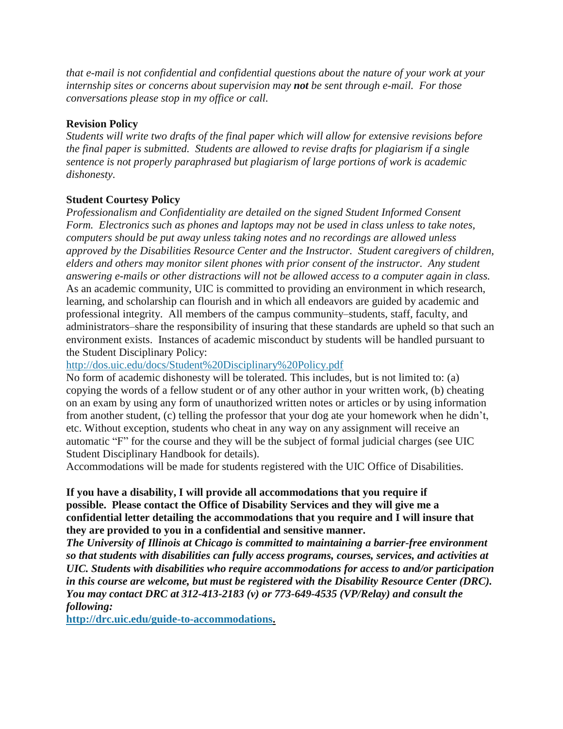*that e-mail is not confidential and confidential questions about the nature of your work at your internship sites or concerns about supervision may not be sent through e-mail. For those conversations please stop in my office or call.*

## **Revision Policy**

*Students will write two drafts of the final paper which will allow for extensive revisions before the final paper is submitted. Students are allowed to revise drafts for plagiarism if a single sentence is not properly paraphrased but plagiarism of large portions of work is academic dishonesty.* 

### **Student Courtesy Policy**

*Professionalism and Confidentiality are detailed on the signed Student Informed Consent Form. Electronics such as phones and laptops may not be used in class unless to take notes, computers should be put away unless taking notes and no recordings are allowed unless approved by the Disabilities Resource Center and the Instructor. Student caregivers of children, elders and others may monitor silent phones with prior consent of the instructor. Any student answering e-mails or other distractions will not be allowed access to a computer again in class.* As an academic community, UIC is committed to providing an environment in which research, learning, and scholarship can flourish and in which all endeavors are guided by academic and professional integrity. All members of the campus community–students, staff, faculty, and administrators–share the responsibility of insuring that these standards are upheld so that such an environment exists. Instances of academic misconduct by students will be handled pursuant to the Student Disciplinary Policy:

<http://dos.uic.edu/docs/Student%20Disciplinary%20Policy.pdf>

No form of academic dishonesty will be tolerated. This includes, but is not limited to: (a) copying the words of a fellow student or of any other author in your written work, (b) cheating on an exam by using any form of unauthorized written notes or articles or by using information from another student, (c) telling the professor that your dog ate your homework when he didn't, etc. Without exception, students who cheat in any way on any assignment will receive an automatic "F" for the course and they will be the subject of formal judicial charges (see UIC Student Disciplinary Handbook for details).

Accommodations will be made for students registered with the UIC Office of Disabilities.

### **If you have a disability, I will provide all accommodations that you require if possible. Please contact the Office of Disability Services and they will give me a confidential letter detailing the accommodations that you require and I will insure that they are provided to you in a confidential and sensitive manner.**

*The University of Illinois at Chicago is committed to maintaining a barrier-free environment so that students with disabilities can fully access programs, courses, services, and activities at UIC. Students with disabilities who require accommodations for access to and/or participation in this course are welcome, but must be registered with the Disability Resource Center (DRC). You may contact DRC at 312-413-2183 (v) or 773-649-4535 (VP/Relay) and consult the following:*

**[http://drc.uic.edu/guide-to-accommodations.](http://drc.uic.edu/guide-to-accommodations)**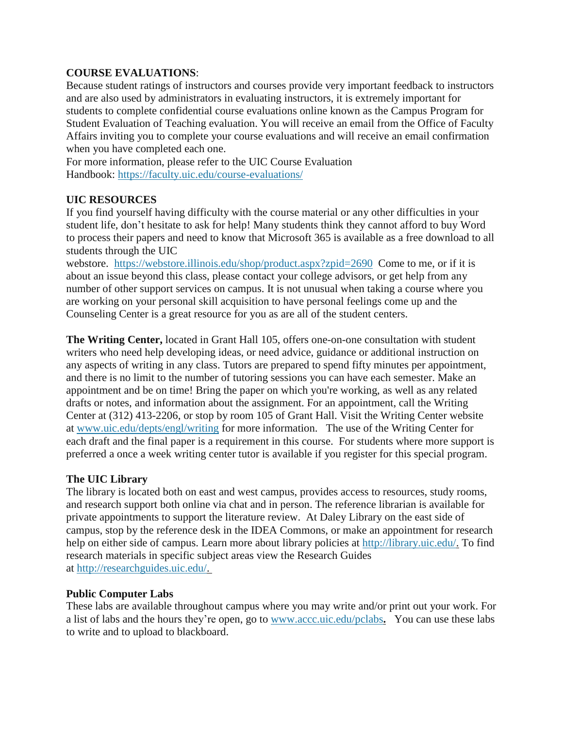## **COURSE EVALUATIONS**:

Because student ratings of instructors and courses provide very important feedback to instructors and are also used by administrators in evaluating instructors, it is extremely important for students to complete confidential course evaluations online known as the Campus Program for Student Evaluation of Teaching evaluation. You will receive an email from the Office of Faculty Affairs inviting you to complete your course evaluations and will receive an email confirmation when you have completed each one.

For more information, please refer to the UIC Course Evaluation Handbook: <https://faculty.uic.edu/course-evaluations/>

### **UIC RESOURCES**

If you find yourself having difficulty with the course material or any other difficulties in your student life, don't hesitate to ask for help! Many students think they cannot afford to buy Word to process their papers and need to know that Microsoft 365 is available as a free download to all students through the UIC

webstore. <https://webstore.illinois.edu/shop/product.aspx?zpid=2690> Come to me, or if it is about an issue beyond this class, please contact your college advisors, or get help from any number of other support services on campus. It is not unusual when taking a course where you are working on your personal skill acquisition to have personal feelings come up and the Counseling Center is a great resource for you as are all of the student centers.

**The Writing Center,** located in Grant Hall 105, offers one-on-one consultation with student writers who need help developing ideas, or need advice, guidance or additional instruction on any aspects of writing in any class. Tutors are prepared to spend fifty minutes per appointment, and there is no limit to the number of tutoring sessions you can have each semester. Make an appointment and be on time! Bring the paper on which you're working, as well as any related drafts or notes, and information about the assignment. For an appointment, call the Writing Center at (312) 413-2206, or stop by room 105 of Grant Hall. Visit the Writing Center website at [www.uic.edu/depts/engl/writing](http://www.uic.edu/depts/engl/writing) for more information. The use of the Writing Center for each draft and the final paper is a requirement in this course. For students where more support is preferred a once a week writing center tutor is available if you register for this special program.

#### **The UIC Library**

The library is located both on east and west campus, provides access to resources, study rooms, and research support both online via chat and in person. The reference librarian is available for private appointments to support the literature review. At Daley Library on the east side of campus, stop by the reference desk in the IDEA Commons, or make an appointment for research help on either side of campus. Learn more about library policies at [http://library.uic.edu/.](http://library.uic.edu/) To find research materials in specific subject areas view the Research Guides at [http://researchguides.uic.edu/.](http://researchguides.uic.edu/)

#### **Public Computer Labs**

These labs are available throughout campus where you may write and/or print out your work. For a list of labs and the hours they're open, go to [www.accc.uic.edu/pclabs](http://www.accc.uic.edu/pclabs)**.** You can use these labs to write and to upload to blackboard.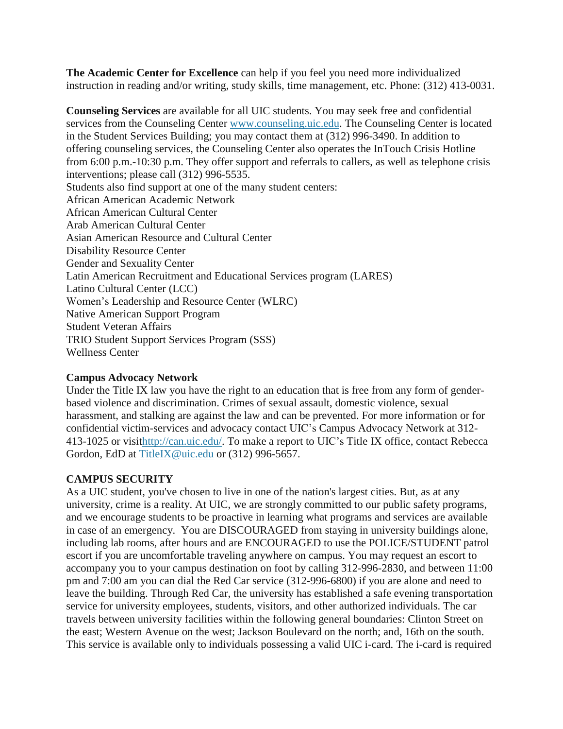**The Academic Center for Excellence** can help if you feel you need more individualized instruction in reading and/or writing, study skills, time management, etc. Phone: (312) 413-0031.

**Counseling Services** are available for all UIC students. You may seek free and confidential services from the Counseling Center [www.counseling.uic.edu.](http://www.counseling.uic.edu/) The Counseling Center is located in the Student Services Building; you may contact them at (312) 996-3490. In addition to offering counseling services, the Counseling Center also operates the InTouch Crisis Hotline from 6:00 p.m.-10:30 p.m. They offer support and referrals to callers, as well as telephone crisis interventions; please call (312) 996-5535. Students also find support at one of the many student centers: African American Academic Network African American Cultural Center Arab American Cultural Center Asian American Resource and Cultural Center Disability Resource Center Gender and Sexuality Center Latin American Recruitment and Educational Services program (LARES) Latino Cultural Center (LCC) Women's Leadership and Resource Center (WLRC) Native American Support Program Student Veteran Affairs TRIO Student Support Services Program (SSS) Wellness Center

# **Campus Advocacy Network**

Under the Title IX law you have the right to an education that is free from any form of genderbased violence and discrimination. Crimes of sexual assault, domestic violence, sexual harassment, and stalking are against the law and can be prevented. For more information or for confidential victim-services and advocacy contact UIC's Campus Advocacy Network at 312- 413-1025 or visi[thttp://can.uic.edu/.](http://can.uic.edu/) To make a report to UIC's Title IX office, contact Rebecca Gordon, EdD at [TitleIX@uic.edu](mailto:TitleIX@uic.edu) or (312) 996-5657.

# **CAMPUS SECURITY**

As a UIC student, you've chosen to live in one of the nation's largest cities. But, as at any university, crime is a reality. At UIC, we are strongly committed to our public safety programs, and we encourage students to be proactive in learning what programs and services are available in case of an emergency. You are DISCOURAGED from staying in university buildings alone, including lab rooms, after hours and are ENCOURAGED to use the POLICE/STUDENT patrol escort if you are uncomfortable traveling anywhere on campus. You may request an escort to accompany you to your campus destination on foot by calling 312-996-2830, and between 11:00 pm and 7:00 am you can dial the Red Car service (312-996-6800) if you are alone and need to leave the building. Through Red Car, the university has established a safe evening transportation service for university employees, students, visitors, and other authorized individuals. The car travels between university facilities within the following general boundaries: Clinton Street on the east; Western Avenue on the west; Jackson Boulevard on the north; and, 16th on the south. This service is available only to individuals possessing a valid UIC i-card. The i-card is required